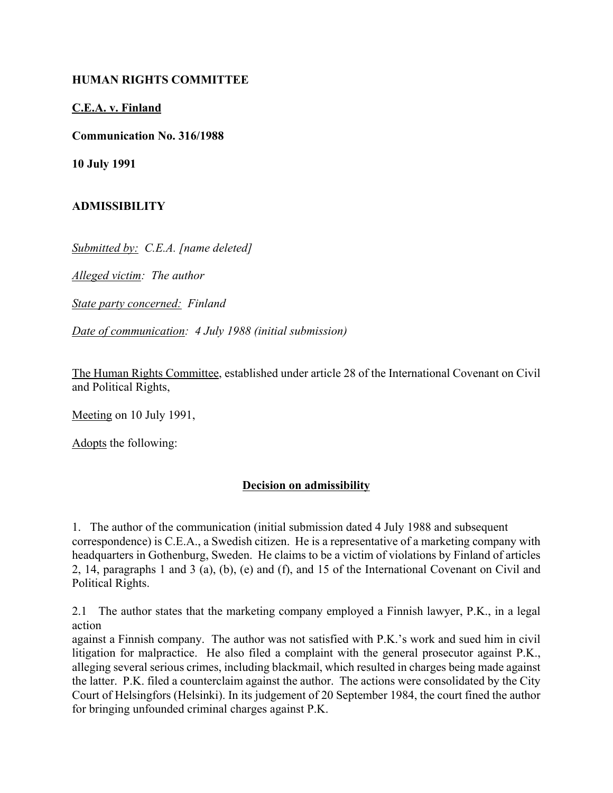#### **HUMAN RIGHTS COMMITTEE**

#### **C.E.A. v. Finland**

**Communication No. 316/1988**

**10 July 1991**

## **ADMISSIBILITY**

*Submitted by: C.E.A. [name deleted]*

*Alleged victim: The author*

*State party concerned: Finland*

*Date of communication: 4 July 1988 (initial submission)*

The Human Rights Committee, established under article 28 of the International Covenant on Civil and Political Rights,

Meeting on 10 July 1991,

Adopts the following:

## **Decision on admissibility**

1. The author of the communication (initial submission dated 4 July 1988 and subsequent correspondence) is C.E.A., a Swedish citizen. He is a representative of a marketing company with headquarters in Gothenburg, Sweden. He claims to be a victim of violations by Finland of articles 2, 14, paragraphs 1 and 3 (a), (b), (e) and (f), and 15 of the International Covenant on Civil and Political Rights.

2.1 The author states that the marketing company employed a Finnish lawyer, P.K., in a legal action

against a Finnish company. The author was not satisfied with P.K.'s work and sued him in civil litigation for malpractice. He also filed a complaint with the general prosecutor against P.K., alleging several serious crimes, including blackmail, which resulted in charges being made against the latter. P.K. filed a counterclaim against the author. The actions were consolidated by the City Court of Helsingfors (Helsinki). In its judgement of 20 September 1984, the court fined the author for bringing unfounded criminal charges against P.K.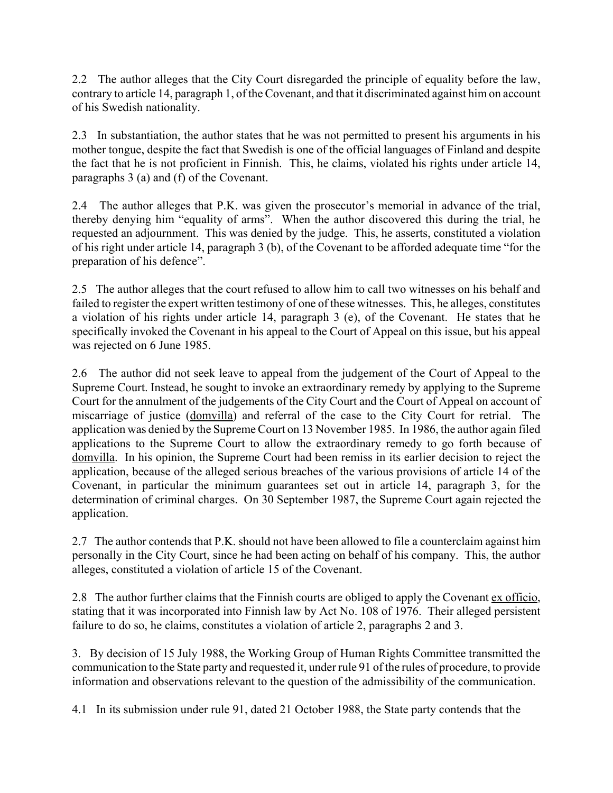2.2 The author alleges that the City Court disregarded the principle of equality before the law, contrary to article 14, paragraph 1, of the Covenant, and that it discriminated against him on account of his Swedish nationality.

2.3 In substantiation, the author states that he was not permitted to present his arguments in his mother tongue, despite the fact that Swedish is one of the official languages of Finland and despite the fact that he is not proficient in Finnish. This, he claims, violated his rights under article 14, paragraphs 3 (a) and (f) of the Covenant.

2.4 The author alleges that P.K. was given the prosecutor's memorial in advance of the trial, thereby denying him "equality of arms". When the author discovered this during the trial, he requested an adjournment. This was denied by the judge. This, he asserts, constituted a violation of his right under article 14, paragraph 3 (b), of the Covenant to be afforded adequate time "for the preparation of his defence".

2.5 The author alleges that the court refused to allow him to call two witnesses on his behalf and failed to register the expert written testimony of one of these witnesses. This, he alleges, constitutes a violation of his rights under article 14, paragraph 3 (e), of the Covenant. He states that he specifically invoked the Covenant in his appeal to the Court of Appeal on this issue, but his appeal was rejected on 6 June 1985.

2.6 The author did not seek leave to appeal from the judgement of the Court of Appeal to the Supreme Court. Instead, he sought to invoke an extraordinary remedy by applying to the Supreme Court for the annulment of the judgements of the City Court and the Court of Appeal on account of miscarriage of justice (domvilla) and referral of the case to the City Court for retrial. The application was denied by the Supreme Court on 13 November 1985. In 1986, the author again filed applications to the Supreme Court to allow the extraordinary remedy to go forth because of domvilla. In his opinion, the Supreme Court had been remiss in its earlier decision to reject the application, because of the alleged serious breaches of the various provisions of article 14 of the Covenant, in particular the minimum guarantees set out in article 14, paragraph 3, for the determination of criminal charges. On 30 September 1987, the Supreme Court again rejected the application.

2.7 The author contends that P.K. should not have been allowed to file a counterclaim against him personally in the City Court, since he had been acting on behalf of his company. This, the author alleges, constituted a violation of article 15 of the Covenant.

2.8 The author further claims that the Finnish courts are obliged to apply the Covenant ex officio, stating that it was incorporated into Finnish law by Act No. 108 of 1976. Their alleged persistent failure to do so, he claims, constitutes a violation of article 2, paragraphs 2 and 3.

3. By decision of 15 July 1988, the Working Group of Human Rights Committee transmitted the communication to the State party and requested it, under rule 91 of the rules of procedure, to provide information and observations relevant to the question of the admissibility of the communication.

4.1 In its submission under rule 91, dated 21 October 1988, the State party contends that the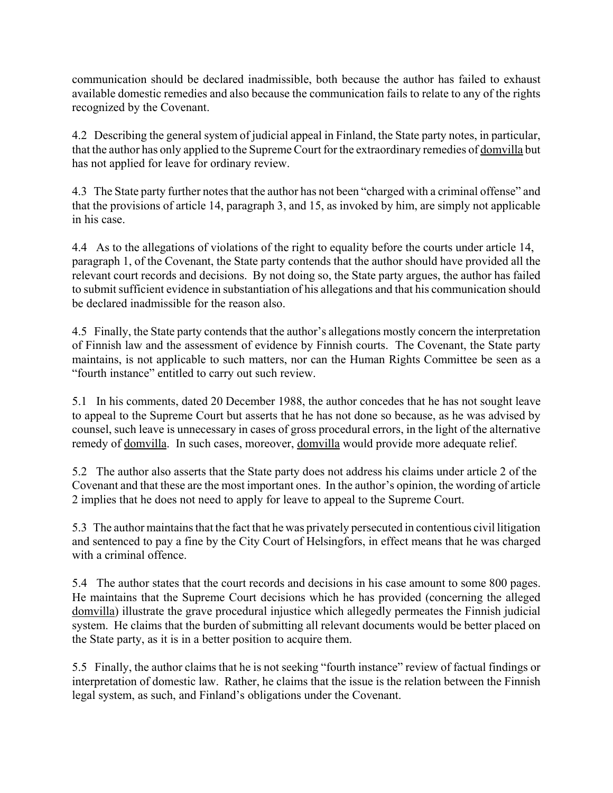communication should be declared inadmissible, both because the author has failed to exhaust available domestic remedies and also because the communication fails to relate to any of the rights recognized by the Covenant.

4.2 Describing the general system of judicial appeal in Finland, the State party notes, in particular, that the author has only applied to the Supreme Court for the extraordinary remedies of domvilla but has not applied for leave for ordinary review.

4.3 The State party further notes that the author has not been "charged with a criminal offense" and that the provisions of article 14, paragraph 3, and 15, as invoked by him, are simply not applicable in his case.

4.4 As to the allegations of violations of the right to equality before the courts under article 14, paragraph 1, of the Covenant, the State party contends that the author should have provided all the relevant court records and decisions. By not doing so, the State party argues, the author has failed to submit sufficient evidence in substantiation of his allegations and that his communication should be declared inadmissible for the reason also.

4.5 Finally, the State party contends that the author's allegations mostly concern the interpretation of Finnish law and the assessment of evidence by Finnish courts. The Covenant, the State party maintains, is not applicable to such matters, nor can the Human Rights Committee be seen as a "fourth instance" entitled to carry out such review.

5.1 In his comments, dated 20 December 1988, the author concedes that he has not sought leave to appeal to the Supreme Court but asserts that he has not done so because, as he was advised by counsel, such leave is unnecessary in cases of gross procedural errors, in the light of the alternative remedy of domvilla. In such cases, moreover, domvilla would provide more adequate relief.

5.2 The author also asserts that the State party does not address his claims under article 2 of the Covenant and that these are the most important ones. In the author's opinion, the wording of article 2 implies that he does not need to apply for leave to appeal to the Supreme Court.

5.3 The author maintains that the fact that he was privately persecuted in contentious civil litigation and sentenced to pay a fine by the City Court of Helsingfors, in effect means that he was charged with a criminal offence

5.4 The author states that the court records and decisions in his case amount to some 800 pages. He maintains that the Supreme Court decisions which he has provided (concerning the alleged domvilla) illustrate the grave procedural injustice which allegedly permeates the Finnish judicial system. He claims that the burden of submitting all relevant documents would be better placed on the State party, as it is in a better position to acquire them.

5.5 Finally, the author claims that he is not seeking "fourth instance" review of factual findings or interpretation of domestic law. Rather, he claims that the issue is the relation between the Finnish legal system, as such, and Finland's obligations under the Covenant.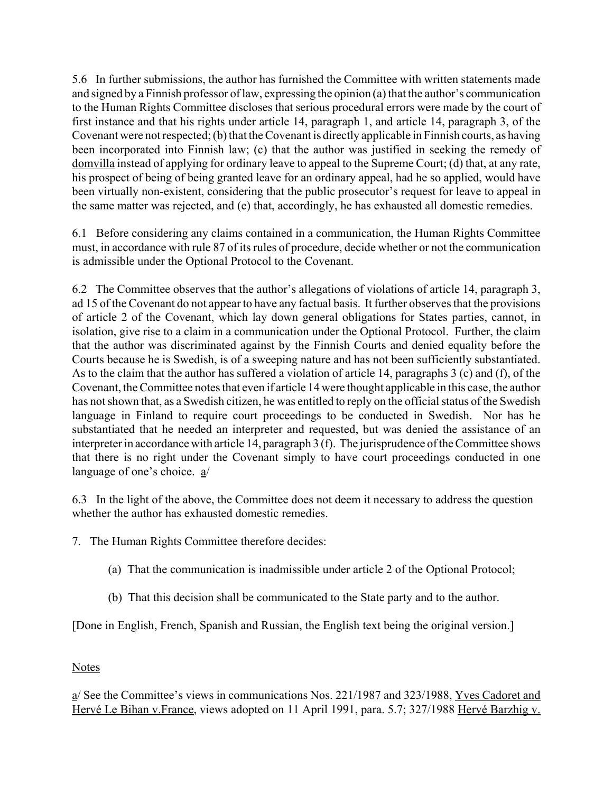5.6 In further submissions, the author has furnished the Committee with written statements made and signed by a Finnish professor of law, expressing the opinion  $(a)$  that the author's communication to the Human Rights Committee discloses that serious procedural errors were made by the court of first instance and that his rights under article 14, paragraph 1, and article 14, paragraph 3, of the Covenant were not respected; (b) that the Covenant is directly applicable in Finnish courts, as having been incorporated into Finnish law; (c) that the author was justified in seeking the remedy of domvilla instead of applying for ordinary leave to appeal to the Supreme Court; (d) that, at any rate, his prospect of being of being granted leave for an ordinary appeal, had he so applied, would have been virtually non-existent, considering that the public prosecutor's request for leave to appeal in the same matter was rejected, and (e) that, accordingly, he has exhausted all domestic remedies.

6.1 Before considering any claims contained in a communication, the Human Rights Committee must, in accordance with rule 87 of its rules of procedure, decide whether or not the communication is admissible under the Optional Protocol to the Covenant.

6.2 The Committee observes that the author's allegations of violations of article 14, paragraph 3, ad 15 of the Covenant do not appear to have any factual basis. It further observes that the provisions of article 2 of the Covenant, which lay down general obligations for States parties, cannot, in isolation, give rise to a claim in a communication under the Optional Protocol. Further, the claim that the author was discriminated against by the Finnish Courts and denied equality before the Courts because he is Swedish, is of a sweeping nature and has not been sufficiently substantiated. As to the claim that the author has suffered a violation of article 14, paragraphs 3 (c) and (f), of the Covenant, the Committee notes that even if article 14 were thought applicable in this case, the author has not shown that, as a Swedish citizen, he was entitled to reply on the official status of the Swedish language in Finland to require court proceedings to be conducted in Swedish. Nor has he substantiated that he needed an interpreter and requested, but was denied the assistance of an interpreter in accordance with article 14, paragraph 3 (f). The jurisprudence of the Committee shows that there is no right under the Covenant simply to have court proceedings conducted in one language of one's choice.  $a/$ 

6.3 In the light of the above, the Committee does not deem it necessary to address the question whether the author has exhausted domestic remedies.

- 7. The Human Rights Committee therefore decides:
	- (a) That the communication is inadmissible under article 2 of the Optional Protocol;
	- (b) That this decision shall be communicated to the State party and to the author.

[Done in English, French, Spanish and Russian, the English text being the original version.]

# Notes

a/ See the Committee's views in communications Nos. 221/1987 and 323/1988, Yves Cadoret and Hervé Le Bihan v.France, views adopted on 11 April 1991, para. 5.7; 327/1988 Hervé Barzhig v.